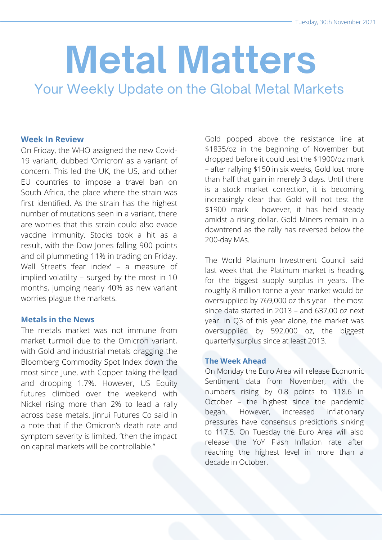# **Metal Matters**

Your Weekly Update on the Global Metal Markets

#### **Week In Review**

On Friday, the WHO assigned the new Covid-19 variant, dubbed 'Omicron' as a variant of concern. This led the UK, the US, and other EU countries to impose a travel ban on South Africa, the place where the strain was first identified. As the strain has the highest number of mutations seen in a variant, there are worries that this strain could also evade vaccine immunity. Stocks took a hit as a result, with the Dow Jones falling 900 points and oil plummeting 11% in trading on Friday. Wall Street's 'fear index' – a measure of implied volatility – surged by the most in 10 months, jumping nearly 40% as new variant worries plague the markets.

#### **Metals in the News**

The metals market was not immune from market turmoil due to the Omicron variant, with Gold and industrial metals dragging the Bloomberg Commodity Spot Index down the most since June, with Copper taking the lead and dropping 1.7%. However, US Equity futures climbed over the weekend with Nickel rising more than 2% to lead a rally across base metals. Jinrui Futures Co said in a note that if the Omicron's death rate and symptom severity is limited, "then the impact on capital markets will be controllable."

Gold popped above the resistance line at \$1835/oz in the beginning of November but dropped before it could test the \$1900/oz mark – after rallying \$150 in six weeks, Gold lost more than half that gain in merely 3 days. Until there is a stock market correction, it is becoming increasingly clear that Gold will not test the \$1900 mark – however, it has held steady amidst a rising dollar. Gold Miners remain in a downtrend as the rally has reversed below the 200-day MAs.

The World Platinum Investment Council said last week that the Platinum market is heading for the biggest supply surplus in years. The roughly 8 million tonne a year market would be oversupplied by 769,000 oz this year – the most since data started in 2013 – and 637,00 oz next year. In Q3 of this year alone, the market was oversupplied by 592,000 oz, the biggest quarterly surplus since at least 2013.

#### **The Week Ahead**

On Monday the Euro Area will release Economic Sentiment data from November, with the numbers rising by 0.8 points to 118.6 in October – the highest since the pandemic began. However, increased inflationary pressures have consensus predictions sinking to 117.5. On Tuesday the Euro Area will also release the YoY Flash Inflation rate after reaching the highest level in more than a decade in October.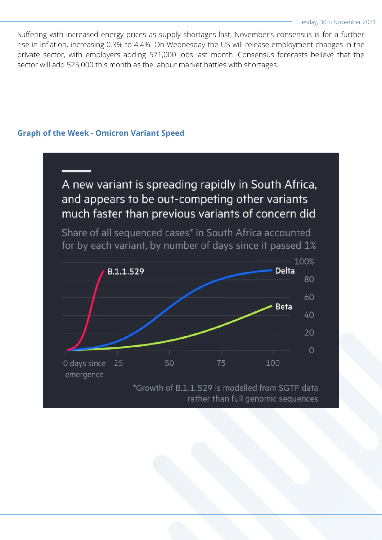Suffering with increased energy prices as supply shortages last, November's consensus is for a further rise in inflation, increasing 0.3% to 4.4%. On Wednesday the US will release employment changes in the private sector, with employers adding 571,000 jobs last month. Consensus forecasts believe that the sector will add 525,000 this month as the labour market battles with shortages.

#### **Graph of the Week - Omicron Variant Speed**

# A new variant is spreading rapidly in South Africa, and appears to be out-competing other variants much faster than previous variants of concern did Share of all sequenced cases\* in South Africa accounted for by each variant, by number of days since it passed 1% 100% **Delta** B.1.1.529 80 60 **Beta** 40 20  $\circ$ 75 100 0 days since 25 50 emergence \*Growth of B.1.1.529 is modelled from SGTF data rather than full genomic sequences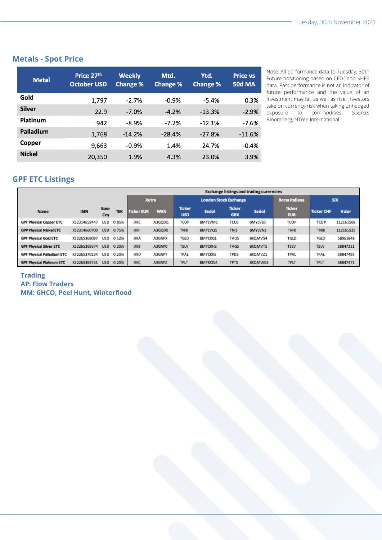### **Metals - Spot Price**

| <b>Metal</b>  | Price 27th<br><b>October USD</b> | <b>Weekly</b><br><b>Change %</b> | Mtd.<br><b>Change %</b> | Ytd.<br><b>Change %</b> | <b>Price vs</b><br><b>50d MA</b> |
|---------------|----------------------------------|----------------------------------|-------------------------|-------------------------|----------------------------------|
| Gold          | 1,797                            | $-2.7%$                          | $-0.9%$                 | $-5.4%$                 | 0.3%                             |
| <b>Silver</b> | 22.9                             | $-7.0%$                          | $-4.2%$                 | $-13.3%$                | $-2.9%$                          |
| Platinum      | 942                              | $-8.9%$                          | $-7.2%$                 | $-12.1%$                | $-7.6%$                          |
| Palladium     | 1,768                            | $-14.2%$                         | $-28.4%$                | $-27.8%$                | $-11.6%$                         |
| Copper        | 9,663                            | $-0.9%$                          | 1.4%                    | 24.7%                   | $-0.4%$                          |
| <b>Nickel</b> | 20,350                           | 1.9%                             | 4.3%                    | 23.0%                   | 3.9%                             |

Note: All performance data to Tuesday, 30th Future positioning based on CFTC and SHFE data. Past performance is not an indicator of future performance and the value of an investment may fall as well as rise. Investors take on currency risk when taking unhedged exposure to commodities. Source: Bloomberg, NTree International

# **GPF ETC Listings**

|                                   |              |             |            | <b>Exchange listings and trading currencies</b> |            |                              |                |                             |                |                             |                   |           |
|-----------------------------------|--------------|-------------|------------|-------------------------------------------------|------------|------------------------------|----------------|-----------------------------|----------------|-----------------------------|-------------------|-----------|
|                                   |              |             |            | <b>Xetra</b>                                    |            | <b>London Stock Exchange</b> |                |                             |                | <b>Borsa Italiana</b>       | <b>SIX</b>        |           |
| <b>Name</b>                       | <b>ISIN</b>  | Base<br>Ccy | <b>TER</b> | <b>Ticker EUR</b>                               | <b>WKN</b> | <b>Ticker</b><br><b>USD</b>  | Sedol          | <b>Ticker</b><br><b>GBX</b> | Sedol          | <b>Ticker</b><br><b>EUR</b> | <b>Ticker CHF</b> | Valor     |
| <b>GPF Physical Copper ETC</b>    | XS2314659447 | <b>USD</b>  | 0.85%      | OIIE                                            | A3GQ0Q     | TCOP                         | BMYLVM1        | <b>TCUS</b>                 | <b>BMYLVLO</b> | <b>TCOP</b>                 | TCOP              | 112161508 |
| <b>GPP Physical Nickel ETC</b>    | XS2314660700 | <b>USD</b>  | 0.75%      | OIIF                                            | A3GQ0R     | <b>TNIK</b>                  | BMYLVQ5        | <b>TNIS</b>                 | BMYLVN2        | <b>TNIK</b>                 | <b>TNIK</b>       | 112161525 |
| <b>GPF Physical Gold ETC</b>      | XS2265368097 | USD         | 0.12%      | OIIA                                            | A3GNPX     | TGLD                         | <b>BMYCKG1</b> | TAUS                        | BKQMVS4        | TGLD                        | TGLD              | 58961848  |
| <b>GPF Physical Silver ETC</b>    | XS2265369574 | <b>USD</b>  | 0.20%      | OIIB                                            | A3GNPO     | <b>TSLV</b>                  | BMYCKH2        | <b>TAGS</b>                 | BKQMVT5        | <b>TSLV</b>                 | <b>TSLV</b>       | 58847211  |
| <b>GPF Physical Palladium ETC</b> | XS2265370234 | <b>USD</b>  | 0.20%      | OIID                                            | A3GNPY     | TPAL                         | <b>BMYCKK5</b> | <b>TPDS</b>                 | BKQMVZ1        | TPAL                        | TPAL              | 58847495  |
| <b>GPF Physical Platinum ETC</b>  | XS2265369731 | <b>USD</b>  | 0.20%      | OIIC                                            | A3GNPZ     | <b>TPLT</b>                  | BMYKCKJ4       | <b>TPTS</b>                 | BKQMW03        | <b>TPLT</b>                 | <b>TPLT</b>       | 58847471  |

#### **Trading AP: Flow Traders MM: GHCO, Peel Hunt, Winterflood**